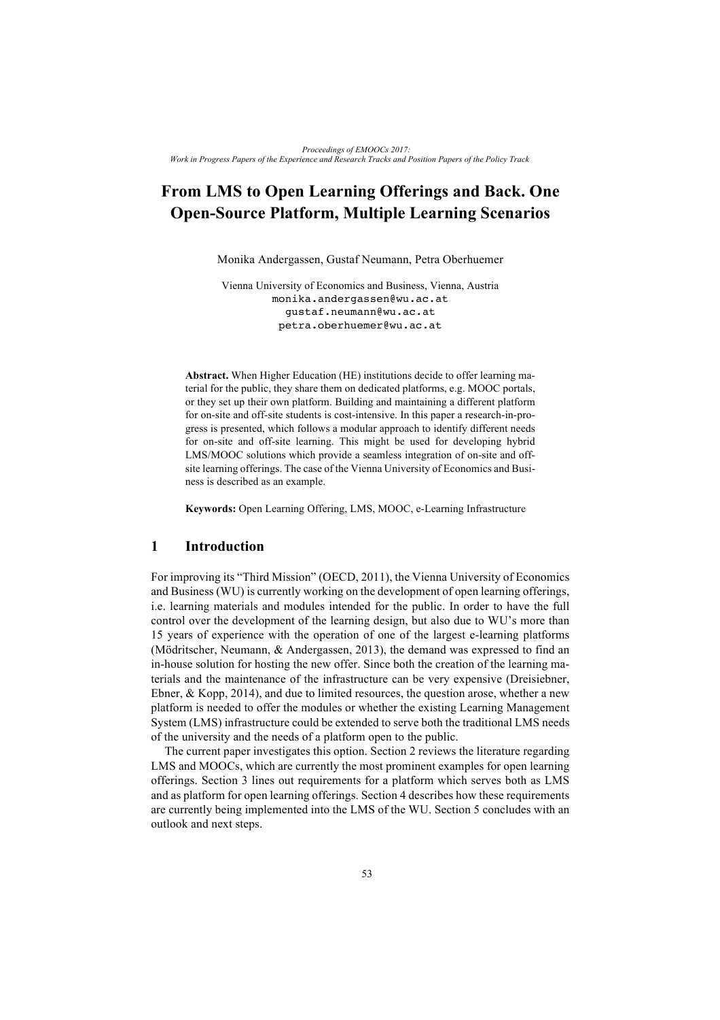# **From LMS to Open Learning Offerings and Back. One Open-Source Platform, Multiple Learning Scenarios**

Monika Andergassen, Gustaf Neumann, Petra Oberhuemer

Vienna University of Economics and Business, Vienna, Austria monika.andergassen@wu.ac.at gustaf.neumann@wu.ac.at petra.oberhuemer@wu.ac.at

**Abstract.** When Higher Education (HE) institutions decide to offer learning material for the public, they share them on dedicated platforms, e.g. MOOC portals, or they set up their own platform. Building and maintaining a different platform for on-site and off-site students is cost-intensive. In this paper a research-in-progress is presented, which follows a modular approach to identify different needs for on-site and off-site learning. This might be used for developing hybrid LMS/MOOC solutions which provide a seamless integration of on-site and offsite learning offerings. The case of the Vienna University of Economics and Business is described as an example.

**Keywords:** Open Learning Offering, LMS, MOOC, e-Learning Infrastructure

#### **1 Introduction**

For improving its "Third Mission" (OECD, 2011), the Vienna University of Economics and Business (WU) is currently working on the development of open learning offerings, i.e. learning materials and modules intended for the public. In order to have the full control over the development of the learning design, but also due to WU's more than 15 years of experience with the operation of one of the largest e-learning platforms (Mödritscher, Neumann, & Andergassen, 2013), the demand was expressed to find an in-house solution for hosting the new offer. Since both the creation of the learning materials and the maintenance of the infrastructure can be very expensive (Dreisiebner, Ebner, & Kopp, 2014), and due to limited resources, the question arose, whether a new platform is needed to offer the modules or whether the existing Learning Management System (LMS) infrastructure could be extended to serve both the traditional LMS needs of the university and the needs of a platform open to the public.

The current paper investigates this option. Section 2 reviews the literature regarding LMS and MOOCs, which are currently the most prominent examples for open learning offerings. Section 3 lines out requirements for a platform which serves both as LMS and as platform for open learning offerings. Section 4 describes how these requirements are currently being implemented into the LMS of the WU. Section 5 concludes with an outlook and next steps.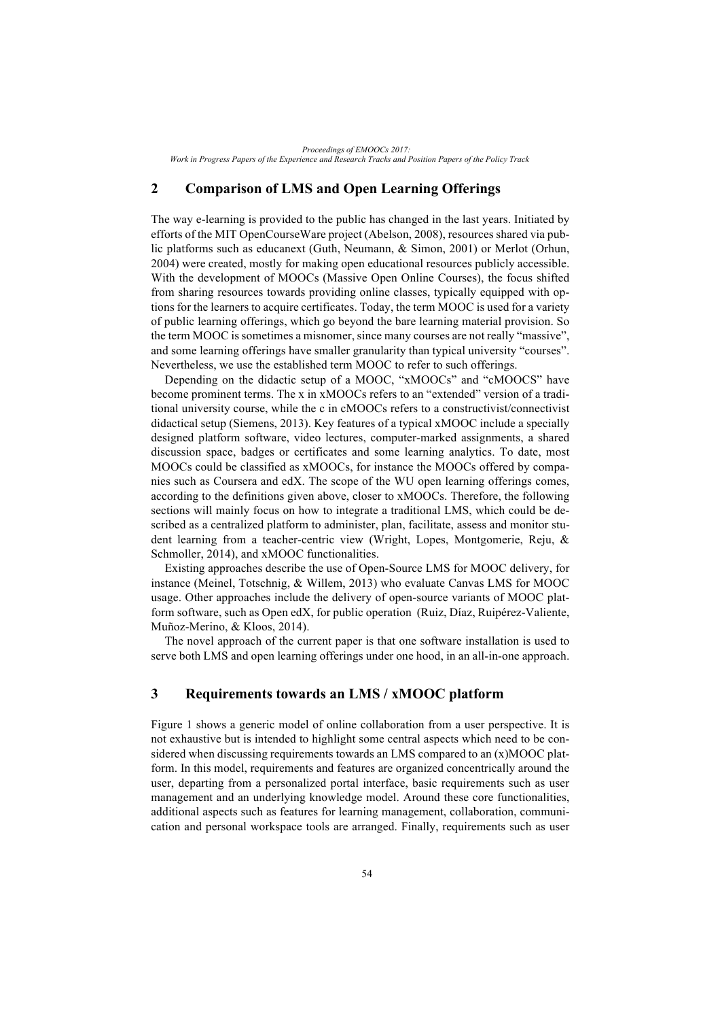*Proceedings of EMOOCs 2017: Work in Progress Papers of the Experience and Research Tracks and Position Papers of the Policy Track*

## **2 Comparison of LMS and Open Learning Offerings**

The way e-learning is provided to the public has changed in the last years. Initiated by efforts of the MIT OpenCourseWare project (Abelson, 2008), resources shared via public platforms such as educanext (Guth, Neumann, & Simon, 2001) or Merlot (Orhun, 2004) were created, mostly for making open educational resources publicly accessible. With the development of MOOCs (Massive Open Online Courses), the focus shifted from sharing resources towards providing online classes, typically equipped with options for the learners to acquire certificates. Today, the term MOOC is used for a variety of public learning offerings, which go beyond the bare learning material provision. So the term MOOC is sometimes a misnomer, since many courses are not really "massive", and some learning offerings have smaller granularity than typical university "courses". Nevertheless, we use the established term MOOC to refer to such offerings.

Depending on the didactic setup of a MOOC, "xMOOCs" and "cMOOCS" have become prominent terms. The x in xMOOCs refers to an "extended" version of a traditional university course, while the c in cMOOCs refers to a constructivist/connectivist didactical setup (Siemens, 2013). Key features of a typical xMOOC include a specially designed platform software, video lectures, computer-marked assignments, a shared discussion space, badges or certificates and some learning analytics. To date, most MOOCs could be classified as xMOOCs, for instance the MOOCs offered by companies such as Coursera and edX. The scope of the WU open learning offerings comes, according to the definitions given above, closer to xMOOCs. Therefore, the following sections will mainly focus on how to integrate a traditional LMS, which could be described as a centralized platform to administer, plan, facilitate, assess and monitor student learning from a teacher-centric view (Wright, Lopes, Montgomerie, Reju, & Schmoller, 2014), and xMOOC functionalities.

Existing approaches describe the use of Open-Source LMS for MOOC delivery, for instance (Meinel, Totschnig, & Willem, 2013) who evaluate Canvas LMS for MOOC usage. Other approaches include the delivery of open-source variants of MOOC platform software, such as Open edX, for public operation (Ruiz, Díaz, Ruipérez-Valiente, Muñoz-Merino, & Kloos, 2014).

The novel approach of the current paper is that one software installation is used to serve both LMS and open learning offerings under one hood, in an all-in-one approach.

## **3 Requirements towards an LMS / xMOOC platform**

Figure 1 shows a generic model of online collaboration from a user perspective. It is not exhaustive but is intended to highlight some central aspects which need to be considered when discussing requirements towards an LMS compared to an (x)MOOC platform. In this model, requirements and features are organized concentrically around the user, departing from a personalized portal interface, basic requirements such as user management and an underlying knowledge model. Around these core functionalities, additional aspects such as features for learning management, collaboration, communication and personal workspace tools are arranged. Finally, requirements such as user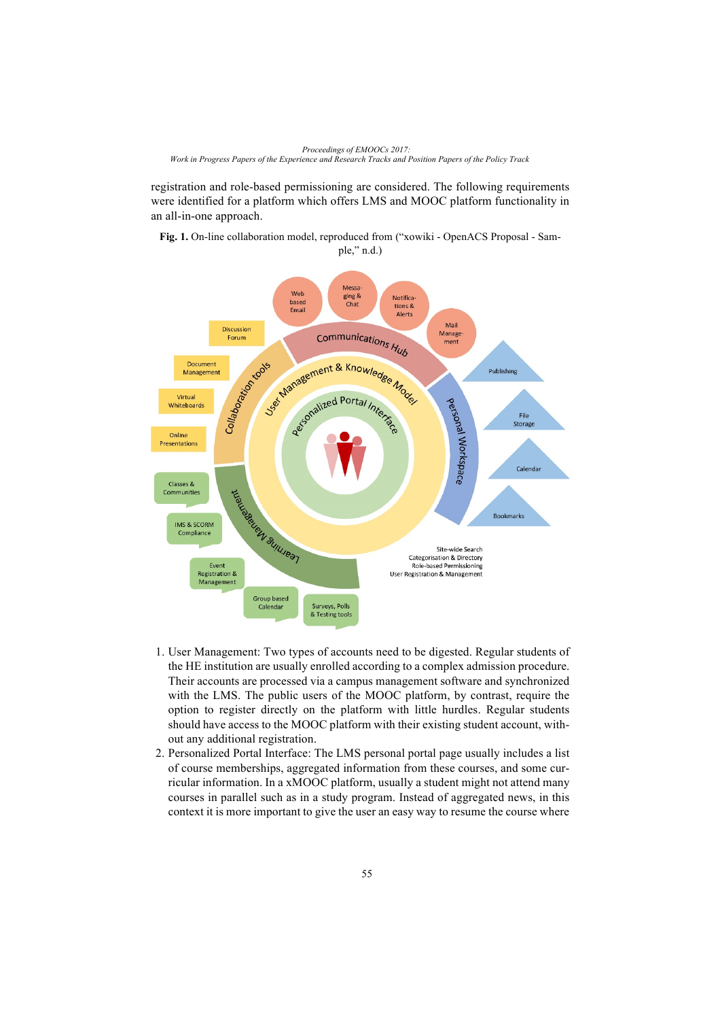*Proceedings of EMOOCs 2017: Work in Progress Papers of the Experience and Research Tracks and Position Papers of the Policy Track*

registration and role-based permissioning are considered. The following requirements were identified for a platform which offers LMS and MOOC platform functionality in an all-in-one approach.

**Fig. 1.** On-line collaboration model, reproduced from ("xowiki - OpenACS Proposal - Sam-



- 1. User Management: Two types of accounts need to be digested. Regular students of the HE institution are usually enrolled according to a complex admission procedure. Their accounts are processed via a campus management software and synchronized with the LMS. The public users of the MOOC platform, by contrast, require the option to register directly on the platform with little hurdles. Regular students should have access to the MOOC platform with their existing student account, without any additional registration.
- 2. Personalized Portal Interface: The LMS personal portal page usually includes a list of course memberships, aggregated information from these courses, and some curricular information. In a xMOOC platform, usually a student might not attend many courses in parallel such as in a study program. Instead of aggregated news, in this context it is more important to give the user an easy way to resume the course where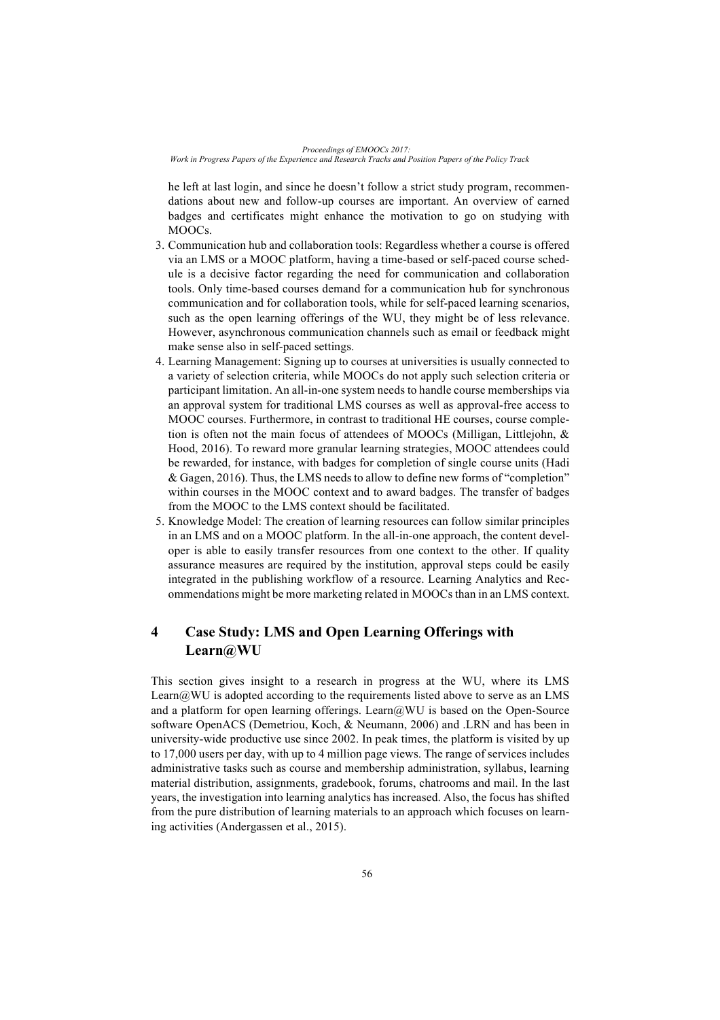*Proceedings of EMOOCs 2017: Work in Progress Papers of the Experience and Research Tracks and Position Papers of the Policy Track*

he left at last login, and since he doesn't follow a strict study program, recommendations about new and follow-up courses are important. An overview of earned badges and certificates might enhance the motivation to go on studying with MOOCs.

- 3. Communication hub and collaboration tools: Regardless whether a course is offered via an LMS or a MOOC platform, having a time-based or self-paced course schedule is a decisive factor regarding the need for communication and collaboration tools. Only time-based courses demand for a communication hub for synchronous communication and for collaboration tools, while for self-paced learning scenarios, such as the open learning offerings of the WU, they might be of less relevance. However, asynchronous communication channels such as email or feedback might make sense also in self-paced settings.
- 4. Learning Management: Signing up to courses at universities is usually connected to a variety of selection criteria, while MOOCs do not apply such selection criteria or participant limitation. An all-in-one system needs to handle course memberships via an approval system for traditional LMS courses as well as approval-free access to MOOC courses. Furthermore, in contrast to traditional HE courses, course completion is often not the main focus of attendees of MOOCs (Milligan, Littlejohn, & Hood, 2016). To reward more granular learning strategies, MOOC attendees could be rewarded, for instance, with badges for completion of single course units (Hadi & Gagen, 2016). Thus, the LMS needs to allow to define new forms of "completion" within courses in the MOOC context and to award badges. The transfer of badges from the MOOC to the LMS context should be facilitated.
- 5. Knowledge Model: The creation of learning resources can follow similar principles in an LMS and on a MOOC platform. In the all-in-one approach, the content developer is able to easily transfer resources from one context to the other. If quality assurance measures are required by the institution, approval steps could be easily integrated in the publishing workflow of a resource. Learning Analytics and Recommendations might be more marketing related in MOOCs than in an LMS context.

# **4 Case Study: LMS and Open Learning Offerings with Learn@WU**

This section gives insight to a research in progress at the WU, where its LMS Learn $@$ WU is adopted according to the requirements listed above to serve as an LMS and a platform for open learning offerings. Learn@WU is based on the Open-Source software OpenACS (Demetriou, Koch, & Neumann, 2006) and .LRN and has been in university-wide productive use since 2002. In peak times, the platform is visited by up to 17,000 users per day, with up to 4 million page views. The range of services includes administrative tasks such as course and membership administration, syllabus, learning material distribution, assignments, gradebook, forums, chatrooms and mail. In the last years, the investigation into learning analytics has increased. Also, the focus has shifted from the pure distribution of learning materials to an approach which focuses on learning activities (Andergassen et al., 2015).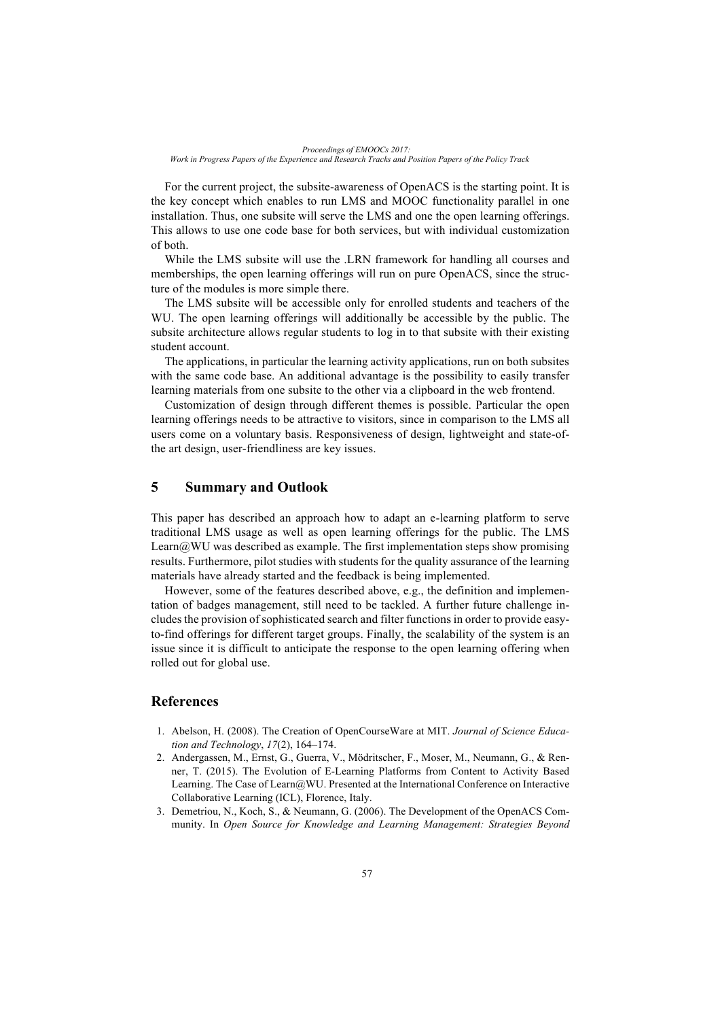For the current project, the subsite-awareness of OpenACS is the starting point. It is the key concept which enables to run LMS and MOOC functionality parallel in one installation. Thus, one subsite will serve the LMS and one the open learning offerings. This allows to use one code base for both services, but with individual customization of both.

While the LMS subsite will use the .LRN framework for handling all courses and memberships, the open learning offerings will run on pure OpenACS, since the structure of the modules is more simple there.

The LMS subsite will be accessible only for enrolled students and teachers of the WU. The open learning offerings will additionally be accessible by the public. The subsite architecture allows regular students to log in to that subsite with their existing student account.

The applications, in particular the learning activity applications, run on both subsites with the same code base. An additional advantage is the possibility to easily transfer learning materials from one subsite to the other via a clipboard in the web frontend.

Customization of design through different themes is possible. Particular the open learning offerings needs to be attractive to visitors, since in comparison to the LMS all users come on a voluntary basis. Responsiveness of design, lightweight and state-ofthe art design, user-friendliness are key issues.

#### **5 Summary and Outlook**

This paper has described an approach how to adapt an e-learning platform to serve traditional LMS usage as well as open learning offerings for the public. The LMS Learn $@WU$  was described as example. The first implementation steps show promising results. Furthermore, pilot studies with students for the quality assurance of the learning materials have already started and the feedback is being implemented.

However, some of the features described above, e.g., the definition and implementation of badges management, still need to be tackled. A further future challenge includes the provision of sophisticated search and filter functions in order to provide easyto-find offerings for different target groups. Finally, the scalability of the system is an issue since it is difficult to anticipate the response to the open learning offering when rolled out for global use.

#### **References**

- 1. Abelson, H. (2008). The Creation of OpenCourseWare at MIT. *Journal of Science Education and Technology*, *17*(2), 164–174.
- 2. Andergassen, M., Ernst, G., Guerra, V., Mödritscher, F., Moser, M., Neumann, G., & Renner, T. (2015). The Evolution of E-Learning Platforms from Content to Activity Based Learning. The Case of Learn@WU. Presented at the International Conference on Interactive Collaborative Learning (ICL), Florence, Italy.
- 3. Demetriou, N., Koch, S., & Neumann, G. (2006). The Development of the OpenACS Community. In *Open Source for Knowledge and Learning Management: Strategies Beyond*